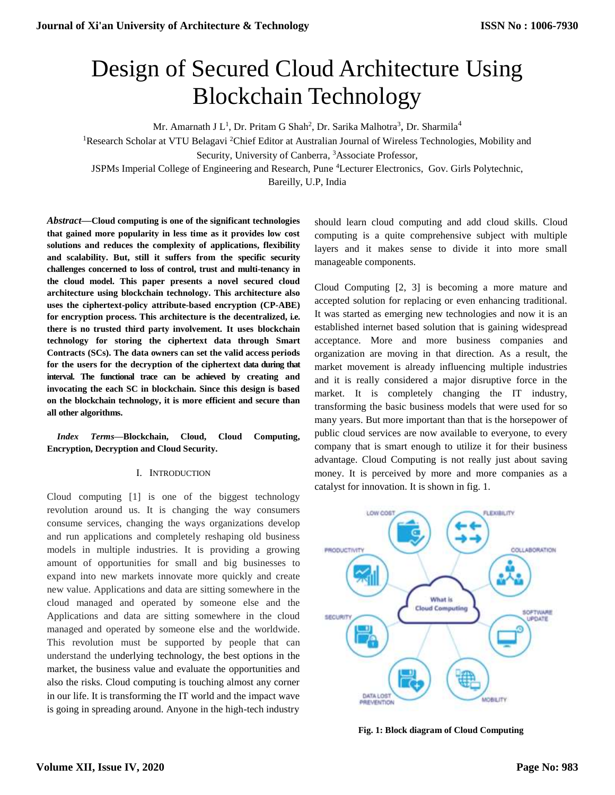# Design of Secured Cloud Architecture Using Blockchain Technology

Mr. Amarnath J  $L^1$ , Dr. Pritam G Shah<sup>2</sup>, Dr. Sarika Malhotra<sup>3</sup>, Dr. Sharmila<sup>4</sup>

<sup>1</sup>Research Scholar at VTU Belagavi <sup>2</sup>Chief Editor at Australian Journal of Wireless Technologies, Mobility and

Security, University of Canberra, <sup>3</sup>Associate Professor,

JSPMs Imperial College of Engineering and Research, Pune <sup>4</sup>Lecturer Electronics, Gov. Girls Polytechnic,

Bareilly, U.P, India

*Abstract***—Cloud computing is one of the significant technologies that gained more popularity in less time as it provides low cost solutions and reduces the complexity of applications, flexibility and scalability. But, still it suffers from the specific security challenges concerned to loss of control, trust and multi-tenancy in the cloud model. This paper presents a novel secured cloud architecture using blockchain technology. This architecture also uses the ciphertext-policy attribute-based encryption (CP-ABE) for encryption process. This architecture is the decentralized, i.e. there is no trusted third party involvement. It uses blockchain technology for storing the ciphertext data through Smart Contracts (SCs). The data owners can set the valid access periods for the users for the decryption of the ciphertext data during that interval. The functional trace can be achieved by creating and invocating the each SC in blockchain. Since this design is based on the blockchain technology, it is more efficient and secure than all other algorithms.**

# *Index Terms***—Blockchain, Cloud, Cloud Computing, Encryption, Decryption and Cloud Security.**

# I. INTRODUCTION

Cloud computing [1] is one of the biggest technology revolution around us. It is changing the way consumers consume services, changing the ways organizations develop and run applications and completely reshaping old business models in multiple industries. It is providing a growing amount of opportunities for small and big businesses to expand into new markets innovate more quickly and create new value. Applications and data are sitting somewhere in the cloud managed and operated by someone else and the Applications and data are sitting somewhere in the cloud managed and operated by someone else and the worldwide. This revolution must be supported by people that can understand the underlying technology, the best options in the market, the business value and evaluate the opportunities and also the risks. Cloud computing is touching almost any corner in our life. It is transforming the IT world and the impact wave is going in spreading around. Anyone in the high-tech industry

should learn cloud computing and add cloud skills. Cloud computing is a quite comprehensive subject with multiple layers and it makes sense to divide it into more small manageable components.

Cloud Computing [2, 3] is becoming a more mature and accepted solution for replacing or even enhancing traditional. It was started as emerging new technologies and now it is an established internet based solution that is gaining widespread acceptance. More and more business companies and organization are moving in that direction. As a result, the market movement is already influencing multiple industries and it is really considered a major disruptive force in the market. It is completely changing the IT industry, transforming the basic business models that were used for so many years. But more important than that is the horsepower of public cloud services are now available to everyone, to every company that is smart enough to utilize it for their business advantage. Cloud Computing is not really just about saving money. It is perceived by more and more companies as a catalyst for innovation. It is shown in fig. 1.



**Fig. 1: Block diagram of Cloud Computing**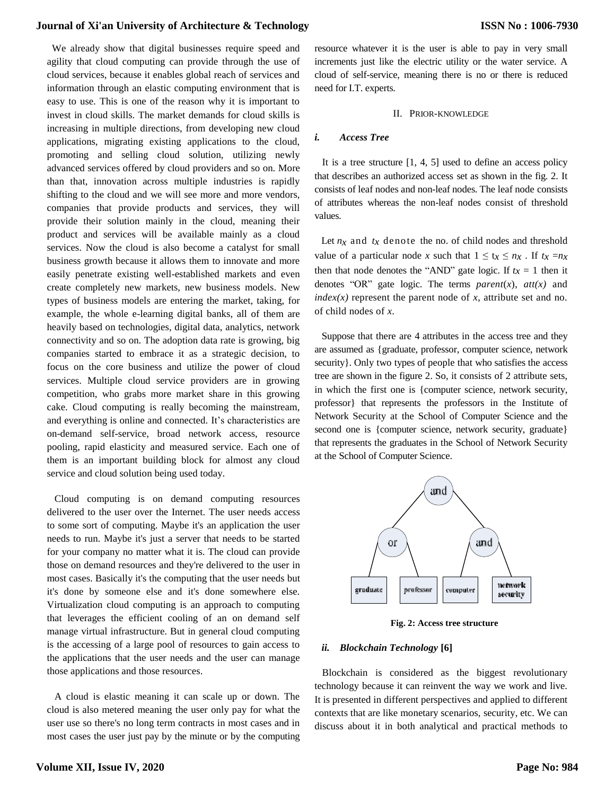#### **Journal of Xi'an University of Architecture & Technology**

 We already show that digital businesses require speed and agility that cloud computing can provide through the use of cloud services, because it enables global reach of services and information through an elastic computing environment that is easy to use. This is one of the reason why it is important to invest in cloud skills. The market demands for cloud skills is increasing in multiple directions, from developing new cloud applications, migrating existing applications to the cloud, promoting and selling cloud solution, utilizing newly advanced services offered by cloud providers and so on. More than that, innovation across multiple industries is rapidly shifting to the cloud and we will see more and more vendors, companies that provide products and services, they will provide their solution mainly in the cloud, meaning their product and services will be available mainly as a cloud services. Now the cloud is also become a catalyst for small business growth because it allows them to innovate and more easily penetrate existing well-established markets and even create completely new markets, new business models. New types of business models are entering the market, taking, for example, the whole e-learning digital banks, all of them are heavily based on technologies, digital data, analytics, network connectivity and so on. The adoption data rate is growing, big companies started to embrace it as a strategic decision, to focus on the core business and utilize the power of cloud services. Multiple cloud service providers are in growing competition, who grabs more market share in this growing cake. Cloud computing is really becoming the mainstream, and everything is online and connected. It's characteristics are on-demand self-service, broad network access, resource pooling, rapid elasticity and measured service. Each one of them is an important building block for almost any cloud service and cloud solution being used today.

 Cloud computing is on demand computing resources delivered to the user over the Internet. The user needs access to some sort of computing. Maybe it's an application the user needs to run. Maybe it's just a server that needs to be started for your company no matter what it is. The cloud can provide those on demand resources and they're delivered to the user in most cases. Basically it's the computing that the user needs but it's done by someone else and it's done somewhere else. Virtualization cloud computing is an approach to computing that leverages the efficient cooling of an on demand self manage virtual infrastructure. But in general cloud computing is the accessing of a large pool of resources to gain access to the applications that the user needs and the user can manage those applications and those resources.

 A cloud is elastic meaning it can scale up or down. The cloud is also metered meaning the user only pay for what the user use so there's no long term contracts in most cases and in most cases the user just pay by the minute or by the computing

#### II. PRIOR-KNOWLEDGE

#### *i. Access Tree*

It is a tree structure  $[1, 4, 5]$  used to define an access policy that describes an authorized access set as shown in the fig. 2. It consists of leaf nodes and non-leaf nodes. The leaf node consists of attributes whereas the non-leaf nodes consist of threshold values.

Let  $n_x$  and  $tx$  denote the no. of child nodes and threshold value of a particular node *x* such that  $1 \le t_x \le n_x$ . If  $t_x = n_x$ then that node denotes the "AND" gate logic. If  $t_x = 1$  then it denotes "OR" gate logic. The terms *parent*(*x*), *att(x)* and  $index(x)$  represent the parent node of *x*, attribute set and no. of child nodes of *x*.

 Suppose that there are 4 attributes in the access tree and they are assumed as {graduate, professor, computer science, network security}. Only two types of people that who satisfies the access tree are shown in the figure 2. So, it consists of 2 attribute sets, in which the first one is {computer science, network security, professor} that represents the professors in the Institute of Network Security at the School of Computer Science and the second one is {computer science, network security, graduate} that represents the graduates in the School of Network Security at the School of Computer Science.



**Fig. 2: Access tree structure**

#### *ii. Blockchain Technology* **[6]**

 Blockchain is considered as the biggest revolutionary technology because it can reinvent the way we work and live. It is presented in different perspectives and applied to different contexts that are like monetary scenarios, security, etc. We can discuss about it in both analytical and practical methods to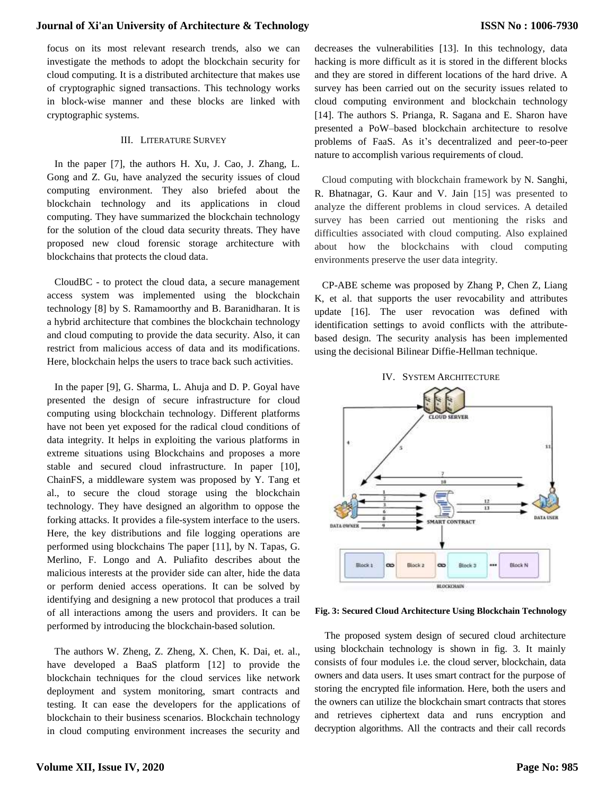## **Journal of Xi'an University of Architecture & Technology**

focus on its most relevant research trends, also we can investigate the methods to adopt the blockchain security for cloud computing. It is a distributed architecture that makes use of cryptographic signed transactions. This technology works in block-wise manner and these blocks are linked with cryptographic systems.

#### III. LITERATURE SURVEY

 In the paper [7], the authors H. Xu, J. Cao, J. Zhang, L. Gong and Z. Gu, have analyzed the security issues of cloud computing environment. They also briefed about the blockchain technology and its applications in cloud computing. They have summarized the blockchain technology for the solution of the cloud data security threats. They have proposed new cloud forensic storage architecture with blockchains that protects the cloud data.

 CloudBC - to protect the cloud data, a secure management access system was implemented using the blockchain technology [8] by S. Ramamoorthy and B. Baranidharan. It is a hybrid architecture that combines the blockchain technology and cloud computing to provide the data security. Also, it can restrict from malicious access of data and its modifications. Here, blockchain helps the users to trace back such activities.

 In the paper [9], G. Sharma, L. Ahuja and D. P. Goyal have presented the design of secure infrastructure for cloud computing using blockchain technology. Different platforms have not been yet exposed for the radical cloud conditions of data integrity. It helps in exploiting the various platforms in extreme situations using Blockchains and proposes a more stable and secured cloud infrastructure. In paper [10], ChainFS, a middleware system was proposed by Y. Tang et al., to secure the cloud storage using the blockchain technology. They have designed an algorithm to oppose the forking attacks. It provides a file-system interface to the users. Here, the key distributions and file logging operations are performed using blockchains The paper [11], by N. Tapas, G. Merlino, F. Longo and A. Puliafito describes about the malicious interests at the provider side can alter, hide the data or perform denied access operations. It can be solved by identifying and designing a new protocol that produces a trail of all interactions among the users and providers. It can be performed by introducing the blockchain-based solution.

 The authors W. Zheng, Z. Zheng, X. Chen, K. Dai, et. al., have developed a BaaS platform [12] to provide the blockchain techniques for the cloud services like network deployment and system monitoring, smart contracts and testing. It can ease the developers for the applications of blockchain to their business scenarios. Blockchain technology in cloud computing environment increases the security and

decreases the vulnerabilities [13]. In this technology, data hacking is more difficult as it is stored in the different blocks and they are stored in different locations of the hard drive. A survey has been carried out on the security issues related to cloud computing environment and blockchain technology [14]. The authors S. Prianga, R. Sagana and E. Sharon have presented a PoW–based blockchain architecture to resolve problems of FaaS. As it's decentralized and peer-to-peer nature to accomplish various requirements of cloud.

 Cloud computing with blockchain framework by N. Sanghi, R. Bhatnagar, G. Kaur and V. Jain [15] was presented to analyze the different problems in cloud services. A detailed survey has been carried out mentioning the risks and difficulties associated with cloud computing. Also explained about how the blockchains with cloud computing environments preserve the user data integrity.

 CP-ABE scheme was proposed by Zhang P, Chen Z, Liang K, et al. that supports the user revocability and attributes update [16]. The user revocation was defined with identification settings to avoid conflicts with the attributebased design. The security analysis has been implemented using the decisional Bilinear Diffie-Hellman technique.



# IV. SYSTEM ARCHITECTURE

#### **Fig. 3: Secured Cloud Architecture Using Blockchain Technology**

The proposed system design of secured cloud architecture using blockchain technology is shown in fig. 3. It mainly consists of four modules i.e. the cloud server, blockchain, data owners and data users. It uses smart contract for the purpose of storing the encrypted file information. Here, both the users and the owners can utilize the blockchain smart contracts that stores and retrieves ciphertext data and runs encryption and decryption algorithms. All the contracts and their call records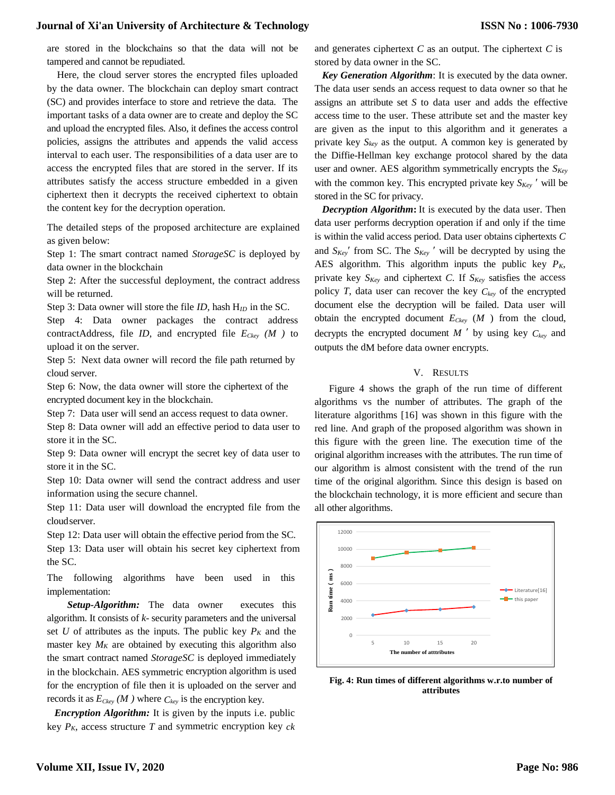## **Journal of Xi'an University of Architecture & Technology**

are stored in the blockchains so that the data will not be tampered and cannot be repudiated.

Here, the cloud server stores the encrypted files uploaded by the data owner. The blockchain can deploy smart contract (SC) and provides interface to store and retrieve the data. The important tasks of a data owner are to create and deploy the SC and upload the encrypted files. Also, it defines the access control policies, assigns the attributes and appends the valid access interval to each user. The responsibilities of a data user are to access the encrypted files that are stored in the server. If its attributes satisfy the access structure embedded in a given ciphertext then it decrypts the received ciphertext to obtain the content key for the decryption operation.

The detailed steps of the proposed architecture are explained as given below:

Step 1: The smart contract named *StorageSC* is deployed by data owner in the blockchain

Step 2: After the successful deployment, the contract address will be returned.

Step 3: Data owner will store the file *ID,* hash H*ID* in the SC.

Step 4: Data owner packages the contract address contractAddress, file *ID*, and encrypted file *ECkey (M )* to upload it on the server.

Step 5: Next data owner will record the file path returned by cloud server.

Step 6: Now, the data owner will store the ciphertext of the encrypted document key in the blockchain.

Step 7: Data user will send an access request to data owner.

Step 8: Data owner will add an effective period to data user to store it in the SC.

Step 9: Data owner will encrypt the secret key of data user to store it in the SC.

Step 10: Data owner will send the contract address and user information using the secure channel.

Step 11: Data user will download the encrypted file from the cloudserver.

Step 12: Data user will obtain the effective period from the SC. Step 13: Data user will obtain his secret key ciphertext from the SC.

The following algorithms have been used in this implementation:

*Setup-Algorithm:* The data owner executes this algorithm. It consists of *k*- security parameters and the universal set *U* of attributes as the inputs. The public key  $P_K$  and the master key  $M_K$  are obtained by executing this algorithm also the smart contract named *StorageSC* is deployed immediately in the blockchain. AES symmetric encryption algorithm is used for the encryption of file then it is uploaded on the server and records it as  $E_{Ckey}$  (*M*) where  $C_{key}$  is the encryption key.

 *Encryption Algorithm:* It is given by the inputs i.e. public key *PK*, access structure *T* and symmetric encryption key *ck* 

and generates ciphertext *C* as an output. The ciphertext *C* is stored by data owner in the SC.

 *Key Generation Algorithm*: It is executed by the data owner. The data user sends an access request to data owner so that he assigns an attribute set *S* to data user and adds the effective access time to the user. These attribute set and the master key are given as the input to this algorithm and it generates a private key  $S_{key}$  as the output. A common key is generated by the Diffie-Hellman key exchange protocol shared by the data user and owner. AES algorithm symmetrically encrypts the *SKey* with the common key. This encrypted private key  $S_{Key}$  ' will be stored in the SC for privacy.

 *Decryption Algorithm***:** It is executed by the data user. Then data user performs decryption operation if and only if the time is within the valid access period. Data user obtains ciphertexts *C*  and  $S_{Key}$ ' from SC. The  $S_{Key}$ ' will be decrypted by using the AES algorithm. This algorithm inputs the public key *PK*, private key *SKey* and ciphertext *C*. If *SKey* satisfies the access policy *T*, data user can recover the key *Ckey* of the encrypted document else the decryption will be failed. Data user will obtain the encrypted document *ECkey* (*M* ) from the cloud, decrypts the encrypted document  $M'$  by using key  $C_{key}$  and outputs the dM before data owner encrypts.

#### V. RESULTS

Figure 4 shows the graph of the run time of different algorithms vs the number of attributes. The graph of the literature algorithms [16] was shown in this figure with the red line. And graph of the proposed algorithm was shown in this figure with the green line. The execution time of the original algorithm increases with the attributes. The run time of our algorithm is almost consistent with the trend of the run time of the original algorithm. Since this design is based on the blockchain technology, it is more efficient and secure than all other algorithms.



**Fig. 4: Run times of different algorithms w.r.to number of attributes**